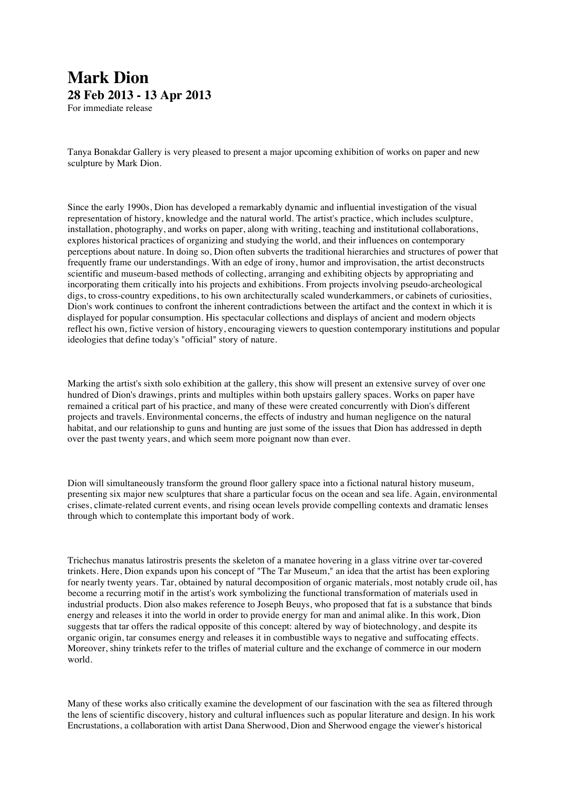## **Mark Dion 28 Feb 2013 - 13 Apr 2013** For immediate release

Tanya Bonakdar Gallery is very pleased to present a major upcoming exhibition of works on paper and new sculpture by Mark Dion.

Since the early 1990s, Dion has developed a remarkably dynamic and influential investigation of the visual representation of history, knowledge and the natural world. The artist's practice, which includes sculpture, installation, photography, and works on paper, along with writing, teaching and institutional collaborations, explores historical practices of organizing and studying the world, and their influences on contemporary perceptions about nature. In doing so, Dion often subverts the traditional hierarchies and structures of power that frequently frame our understandings. With an edge of irony, humor and improvisation, the artist deconstructs scientific and museum-based methods of collecting, arranging and exhibiting objects by appropriating and incorporating them critically into his projects and exhibitions. From projects involving pseudo-archeological digs, to cross-country expeditions, to his own architecturally scaled wunderkammers, or cabinets of curiosities, Dion's work continues to confront the inherent contradictions between the artifact and the context in which it is displayed for popular consumption. His spectacular collections and displays of ancient and modern objects reflect his own, fictive version of history, encouraging viewers to question contemporary institutions and popular ideologies that define today's "official" story of nature.

Marking the artist's sixth solo exhibition at the gallery, this show will present an extensive survey of over one hundred of Dion's drawings, prints and multiples within both upstairs gallery spaces. Works on paper have remained a critical part of his practice, and many of these were created concurrently with Dion's different projects and travels. Environmental concerns, the effects of industry and human negligence on the natural habitat, and our relationship to guns and hunting are just some of the issues that Dion has addressed in depth over the past twenty years, and which seem more poignant now than ever.

Dion will simultaneously transform the ground floor gallery space into a fictional natural history museum, presenting six major new sculptures that share a particular focus on the ocean and sea life. Again, environmental crises, climate-related current events, and rising ocean levels provide compelling contexts and dramatic lenses through which to contemplate this important body of work.

Trichechus manatus latirostris presents the skeleton of a manatee hovering in a glass vitrine over tar-covered trinkets. Here, Dion expands upon his concept of "The Tar Museum," an idea that the artist has been exploring for nearly twenty years. Tar, obtained by natural decomposition of organic materials, most notably crude oil, has become a recurring motif in the artist's work symbolizing the functional transformation of materials used in industrial products. Dion also makes reference to Joseph Beuys, who proposed that fat is a substance that binds energy and releases it into the world in order to provide energy for man and animal alike. In this work, Dion suggests that tar offers the radical opposite of this concept: altered by way of biotechnology, and despite its organic origin, tar consumes energy and releases it in combustible ways to negative and suffocating effects. Moreover, shiny trinkets refer to the trifles of material culture and the exchange of commerce in our modern world.

Many of these works also critically examine the development of our fascination with the sea as filtered through the lens of scientific discovery, history and cultural influences such as popular literature and design. In his work Encrustations, a collaboration with artist Dana Sherwood, Dion and Sherwood engage the viewer's historical